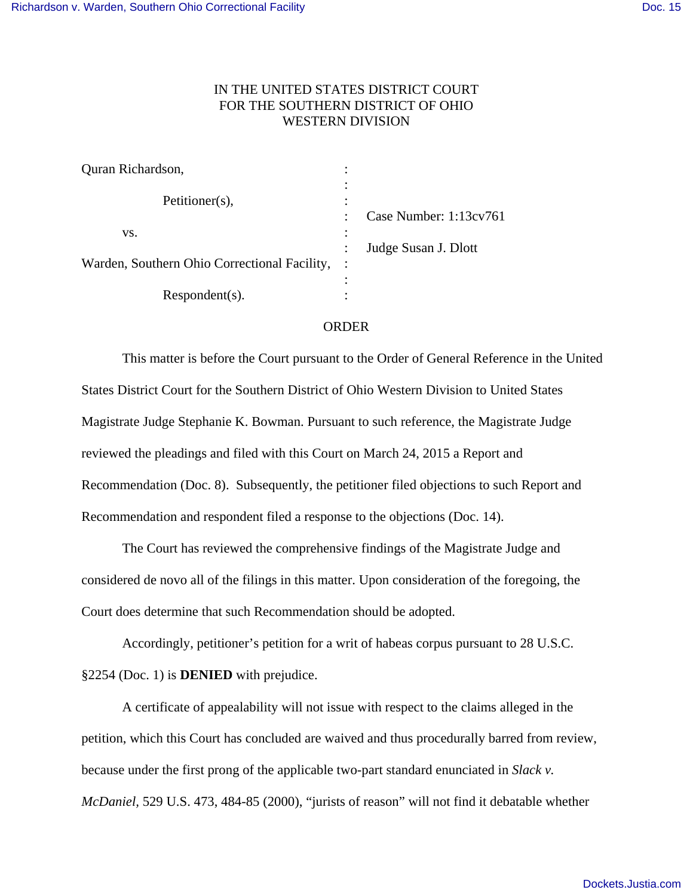## IN THE UNITED STATES DISTRICT COURT FOR THE SOUTHERN DISTRICT OF OHIO WESTERN DIVISION

| Quran Richardson,                            | ٠              |                        |
|----------------------------------------------|----------------|------------------------|
| Petitioner(s),                               | ٠<br>$\bullet$ |                        |
|                                              | $\bullet$      | Case Number: 1:13cv761 |
| VS.                                          | $\bullet$      |                        |
|                                              |                | Judge Susan J. Dlott   |
| Warden, Southern Ohio Correctional Facility, | $\ddot{\cdot}$ |                        |
|                                              |                |                        |
| $Respondent(s)$ .                            |                |                        |

## ORDER

This matter is before the Court pursuant to the Order of General Reference in the United States District Court for the Southern District of Ohio Western Division to United States Magistrate Judge Stephanie K. Bowman. Pursuant to such reference, the Magistrate Judge reviewed the pleadings and filed with this Court on March 24, 2015 a Report and Recommendation (Doc. 8). Subsequently, the petitioner filed objections to such Report and Recommendation and respondent filed a response to the objections (Doc. 14).

The Court has reviewed the comprehensive findings of the Magistrate Judge and considered de novo all of the filings in this matter. Upon consideration of the foregoing, the Court does determine that such Recommendation should be adopted.

Accordingly, petitioner's petition for a writ of habeas corpus pursuant to 28 U.S.C. §2254 (Doc. 1) is **DENIED** with prejudice.

A certificate of appealability will not issue with respect to the claims alleged in the petition, which this Court has concluded are waived and thus procedurally barred from review, because under the first prong of the applicable two-part standard enunciated in *Slack v. McDaniel,* 529 U.S. 473, 484-85 (2000), "jurists of reason" will not find it debatable whether